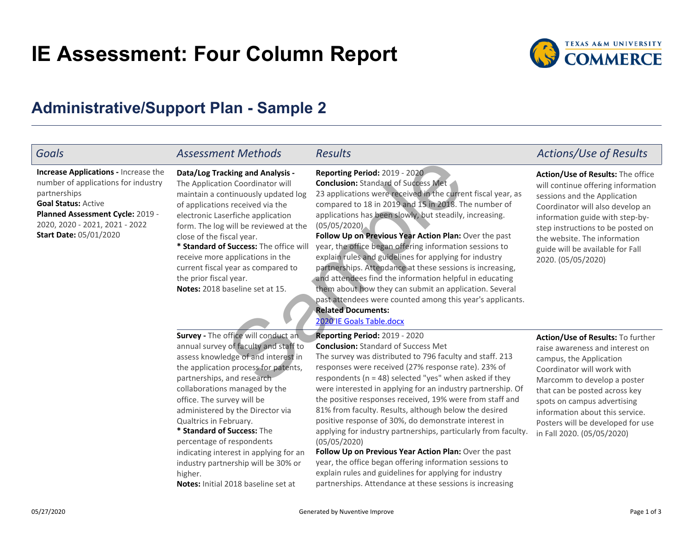# **IE Assessment: Four Column Report**



# **Administrative/Support Plan - Sample 2**

### *Goals*

**Goal Status:** Active **Planned Assessment Cycle:** 2019 -2020, 2020 - 2021, 2021 - 2022**Increase Applications -** Increase the number of applications for industrypartnerships**Start Date:** 05/01/2020

**Data/Log Tracking and Analysis -**The Application Coordinator willmaintain a continuously updated logof applications received via the

 electronic Laserfiche application form. The log will be reviewed at theclose of the fiscal year.

**\* Standard of Success:** The office will receive more applications in the current fiscal year as compared tothe prior fiscal year.**Notes:** 2018 baseline set at 15.

**Survey - The office will conduct an**  annual survey of faculty and staff to assess knowledge of and interest in the application process for patents,partnerships, and research collaborations managed by theoffice. The survey will be administered by the Director viaQualtrics in February.

**\* Standard of Success:** The percentage of respondents indicating interest in applying for an industry partnership will be 30% orhigher.

**Notes:** Initial 2018 baseline set at

**Reporting Period:** 2019 - 2020 **Conclusion:** Standard of Success Met 23 applications were received in the current fiscal year, ascompared to 18 in 2019 and 15 in 2018. The number ofapplications has been slowly, but steadily, increasing.(05/05/2020)

**Follow Up on Previous Year Action Plan:** Over the past year, the office began offering information sessions to explain rules and guidelines for applying for industry partnerships. Attendance at these sessions is increasing,and attendees find the information helpful in educating them about how they can submit an application. Severalpast attendees were counted among this year's applicants.**Related Documents:**Exing [a](https://tamuc.improve.nuventive.com:443/tracdat/viewDocument?y=qds4GfrjPeEK)nd Analysis - Reporting Period: 2019 - 2020<br>
Don Coordinator will<br>
that inuously updated log<br>
23 applications were received in the curre<br>
s received via the<br>
compared to 18 in 2019 and 15 in 2018. The<br>
erfiche appli

> **Follow Up on Previous Year Action Plan:** Over the past year, the office began offering information sessions to explain rules and guidelines for applying for industrypartnerships. Attendance at these sessions is increasing

 The survey was distributed to 796 faculty and staff. 213responses were received (27% response rate). 23% of respondents (n = 48) selected "yes" when asked if they were interested in applying for an industry partnership. Ofthe positive responses received, 19% were from staff and81% from faculty. Results, although below the desired positive response of 30%, do demonstrate interest inapplying for industry partnerships, particularly from faculty.

### 2020 IE Goals Table.docx

**Reporting Period:** 2019 - 2020**Conclusion:** Standard of Success Met

*Assessment Methods Results Actions/Use of Results*

## **Action/Use of Results:** The office

 will continue offering informationsessions and the Application Coordinator will also develop an information guide with step-bystep instructions to be posted onthe website. The information guide will be available for Fall2020. (05/05/2020)

**Action/Use of Results:** To furtherraise awareness and interest oncampus, the Application Coordinator will work with Marcomm to develop a poster that can be posted across key spots on campus advertising information about this service.Posters will be developed for usein Fall 2020. (05/05/2020)

05/27/2020

(05/05/2020)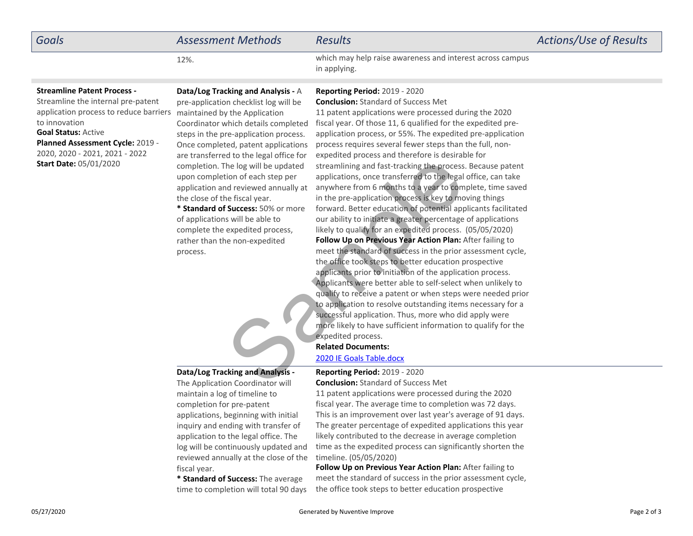| <b>Goals</b>                                                                                                                                                                                                                                                             | <b>Assessment Methods</b>                                                                                                                                                                                                                                                                                                                                                                                                                                                                                                                                                                   | <b>Results</b>                                                                                                                                                                                                                                                                                                                                                                                                                                                                                                                                                                                                                                                                                                                                                                                                                                                                                                                                                                                                                                                                                                                                                                                                                                                                                                                                                                                                                                                                                     | Actions/Use of Results |
|--------------------------------------------------------------------------------------------------------------------------------------------------------------------------------------------------------------------------------------------------------------------------|---------------------------------------------------------------------------------------------------------------------------------------------------------------------------------------------------------------------------------------------------------------------------------------------------------------------------------------------------------------------------------------------------------------------------------------------------------------------------------------------------------------------------------------------------------------------------------------------|----------------------------------------------------------------------------------------------------------------------------------------------------------------------------------------------------------------------------------------------------------------------------------------------------------------------------------------------------------------------------------------------------------------------------------------------------------------------------------------------------------------------------------------------------------------------------------------------------------------------------------------------------------------------------------------------------------------------------------------------------------------------------------------------------------------------------------------------------------------------------------------------------------------------------------------------------------------------------------------------------------------------------------------------------------------------------------------------------------------------------------------------------------------------------------------------------------------------------------------------------------------------------------------------------------------------------------------------------------------------------------------------------------------------------------------------------------------------------------------------------|------------------------|
|                                                                                                                                                                                                                                                                          | 12%.                                                                                                                                                                                                                                                                                                                                                                                                                                                                                                                                                                                        | which may help raise awareness and interest across campus<br>in applying.                                                                                                                                                                                                                                                                                                                                                                                                                                                                                                                                                                                                                                                                                                                                                                                                                                                                                                                                                                                                                                                                                                                                                                                                                                                                                                                                                                                                                          |                        |
| <b>Streamline Patent Process -</b><br>Streamline the internal pre-patent<br>application process to reduce barriers<br>to innovation<br><b>Goal Status: Active</b><br>Planned Assessment Cycle: 2019 -<br>2020, 2020 - 2021, 2021 - 2022<br><b>Start Date: 05/01/2020</b> | Data/Log Tracking and Analysis - A<br>pre-application checklist log will be<br>maintained by the Application<br>Coordinator which details completed<br>steps in the pre-application process.<br>Once completed, patent applications<br>are transferred to the legal office for<br>completion. The log will be updated<br>upon completion of each step per<br>application and reviewed annually at<br>the close of the fiscal year.<br>* Standard of Success: 50% or more<br>of applications will be able to<br>complete the expedited process,<br>rather than the non-expedited<br>process. | <b>Reporting Period: 2019 - 2020</b><br><b>Conclusion: Standard of Success Met</b><br>11 patent applications were processed during the 2020<br>fiscal year. Of those 11, 6 qualified for the expedited pre-<br>application process, or 55%. The expedited pre-application<br>process requires several fewer steps than the full, non-<br>expedited process and therefore is desirable for<br>streamlining and fast-tracking the process. Because patent<br>applications, once transferred to the legal office, can take<br>anywhere from 6 months to a year to complete, time saved<br>in the pre-application process is key to moving things<br>forward. Better education of potential applicants facilitated<br>our ability to initiate a greater percentage of applications<br>likely to qualify for an expedited process. (05/05/2020)<br>Follow Up on Previous Year Action Plan: After failing to<br>meet the standard of success in the prior assessment cycle,<br>the office took steps to better education prospective<br>applicants prior to initiation of the application process.<br>Applicants were better able to self-select when unlikely to<br>qualify to receive a patent or when steps were needed prior<br>to application to resolve outstanding items necessary for a<br>successful application. Thus, more who did apply were<br>more likely to have sufficient information to qualify for the<br>expedited process.<br><b>Related Documents:</b><br>2020 IE Goals Table.docx |                        |
|                                                                                                                                                                                                                                                                          | Data/Log Tracking and Analysis -<br>The Application Coordinator will                                                                                                                                                                                                                                                                                                                                                                                                                                                                                                                        | <b>Reporting Period: 2019 - 2020</b><br><b>Conclusion:</b> Standard of Success Met                                                                                                                                                                                                                                                                                                                                                                                                                                                                                                                                                                                                                                                                                                                                                                                                                                                                                                                                                                                                                                                                                                                                                                                                                                                                                                                                                                                                                 |                        |

### **Data/Log Tracking and Analysis -**

The Application Coordinator willmaintain a log of timeline tocompletion for pre-patent applications, beginning with initialinquiry and ending with transfer of application to the legal office. The log will be continuously updated and reviewed annually at the close of thefiscal year.

**\* Standard of Success:** The averagetime to completion will total 90 days

### **Reporting Period:** 2019 - 2020**Conclusion:** Standard of Success Met

 11 patent applications were processed during the 2020 fiscal year. The average time to completion was 72 days.This is an improvement over last year's average of 91 days.The greater percentage of expedited applications this yearlikely contributed to the decrease in average completion time as the expedited process can significantly shorten thetimeline. (05/05/2020)

**Follow Up on Previous Year Action Plan:** After failing to meet the standard of success in the prior assessment cycle,the office took steps to better education prospective